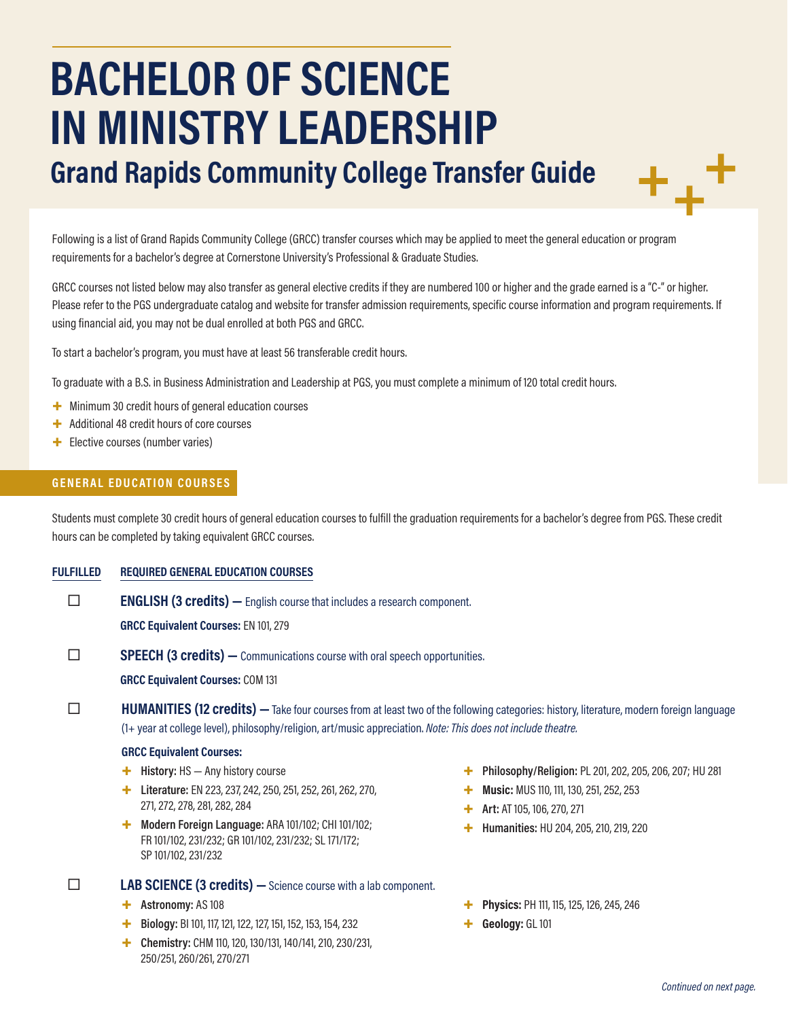# **BACHELOR OF SCIENCE IN MINISTRY LEADERSHIP**

**Grand Rapids Community College Transfer Guide**

Following is a list of Grand Rapids Community College (GRCC) transfer courses which may be applied to meet the general education or program requirements for a bachelor's degree at Cornerstone University's Professional & Graduate Studies.

GRCC courses not listed below may also transfer as general elective credits if they are numbered 100 or higher and the grade earned is a "C-" or higher. Please refer to the PGS undergraduate catalog and website for transfer admission requirements, specific course information and program requirements. If using financial aid, you may not be dual enrolled at both PGS and GRCC.

To start a bachelor's program, you must have at least 56 transferable credit hours.

To graduate with a B.S. in Business Administration and Leadership at PGS, you must complete a minimum of 120 total credit hours.

- + Minimum 30 credit hours of general education courses
- + Additional 48 credit hours of core courses
- + Elective courses (number varies)

## **GENERAL EDUCATION COURSES**

Students must complete 30 credit hours of general education courses to fulfill the graduation requirements for a bachelor's degree from PGS. These credit hours can be completed by taking equivalent GRCC courses.

#### **FULFILLED REQUIRED GENERAL EDUCATION COURSES**

**ENGLISH (3 credits)** — English course that includes a research component.

**GRCC Equivalent Courses:** EN 101, 279

**SPEECH (3 credits)** — Communications course with oral speech opportunities.

**GRCC Equivalent Courses:** COM 131

**HUMANITIES (12 credits)** — Take four courses from at least two of the following categories: history, literature, modern foreign language (1+ year at college level), philosophy/religion, art/music appreciation. *Note: This does not include theatre.*

#### **GRCC Equivalent Courses:**

- + **History:** HS Any history course
- + **Literature:** EN 223, 237, 242, 250, 251, 252, 261, 262, 270, 271, 272, 278, 281, 282, 284
- + **Modern Foreign Language:** ARA 101/102; CHI 101/102; FR 101/102, 231/232; GR 101/102, 231/232; SL 171/172; SP 101/102, 231/232

# **LAB SCIENCE (3 credits) —**Science course with a lab component.

- + **Astronomy:** AS 108
- + **Biology:** BI 101, 117, 121, 122, 127, 151, 152, 153, 154, 232
- + **Chemistry:** CHM 110, 120, 130/131, 140/141, 210, 230/231, 250/251, 260/261, 270/271
- + **Philosophy/Religion:** PL 201, 202, 205, 206, 207; HU 281
- **Music: MUS 110, 111, 130, 251, 252, 253**
- + **Art:** AT 105, 106, 270, 271
- + **Humanities:** HU 204, 205, 210, 219, 220
- + **Physics:** PH 111, 115, 125, 126, 245, 246
- + **Geology:** GL 101